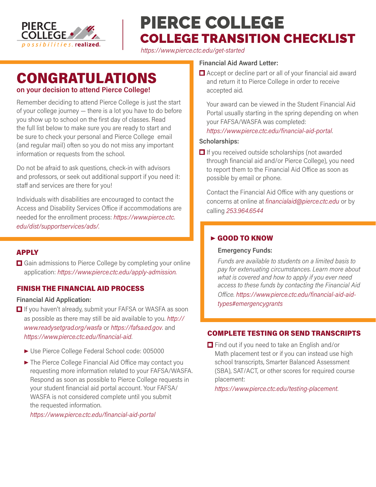

# PIERCE COLLEGE COLLEGE TRANSITION CHECKLIST

*<https://www.pierce.ctc.edu/get-started>*

## CONGRATULATIONS **on your decision to attend Pierce College!**

Remember deciding to attend Pierce College is just the start of your college journey — there is a lot you have to do before you show up to school on the first day of classes. Read the full list below to make sure you are ready to start and be sure to check your personal and Pierce College email (and regular mail) often so you do not miss any important information or requests from the school.

Do not be afraid to ask questions, check-in with advisors and professors, or seek out additional support if you need it: staff and services are there for you!

Individuals with disabilities are encouraged to contact the Access and Disability Services Office if accommodations are needed for the enrollment process: *[https://www.pierce.ctc.](https://www.pierce.ctc.edu/dist/supportservices/ads/) [edu/dist/supportservices/ads/.](https://www.pierce.ctc.edu/dist/supportservices/ads/)*

## **APPIY**

**□** Gain admissions to Pierce College by completing your online application: *[https://www.pierce.ctc.edu/apply-admission.](https://www.pierce.ctc.edu/apply-admission)*

## FINISH THE FINANCIAL AID PROCESS

#### **Financial Aid Application:**

- $\Box$  If you haven't already, submit your FAFSA or WASFA as soon as possible as there may still be aid available to you. *[http://](http://www.readysetgrad.org/wasfa) [www.readysetgrad.org/wasfa](http://www.readysetgrad.org/wasfa)* or *<https://fafsa.ed.gov>*. and *<https://www.pierce.ctc.edu/financial-aid>*.
	- ▶ Use Pierce College Federal School code: 005000
	- ▶ The Pierce College Financial Aid Office may contact you requesting more information related to your FAFSA/WASFA. Respond as soon as possible to Pierce College requests in your student financial aid portal account. Your FAFSA/ WASFA is not considered complete until you submit the requested information.

*<https://www.pierce.ctc.edu/financial-aid-portal>*

#### **Financial Aid Award Letter:**

■ Accept or decline part or all of your financial aid award and return it to Pierce College in order to receive accepted aid.

Your award can be viewed in the Student Financial Aid Portal usually starting in the spring depending on when your FAFSA/WASFA was completed:

#### *<https://www.pierce.ctc.edu/financial-aid-portal>*.

#### **Scholarships:**

 $\Box$  If you received outside scholarships (not awarded through financial aid and/or Pierce College), you need to report them to the Financial Aid Office as soon as possible by email or phone.

Contact the Financial Aid Office with any questions or concerns at online at *[financialaid@pierce.ctc.edu](mailto:financialaid%40pierce.ctc.edu?subject=)* or by calling *253.964.6544*

## ▶ GOOD TO KNOW

#### **Emergency Funds:**

*Funds are available to students on a limited basis to pay for extenuating circumstances. Learn more about what is covered and how to apply if you ever need access to these funds by contacting the Financial Aid Office. [https://www.pierce.ctc.edu/financial-aid-aid](https://www.pierce.ctc.edu/financial-aid-aid-types#emergencygrants)[types#emergencygrants](https://www.pierce.ctc.edu/financial-aid-aid-types#emergencygrants)*

## COMPLETE TESTING OR SEND TRANSCRIPTS

 $\Box$  Find out if you need to take an English and/or Math placement test or if you can instead use high school transcripts, Smarter Balanced Assessment (SBA), SAT/ACT, or other scores for required course placement:

*<https://www.pierce.ctc.edu/testing-placement>*.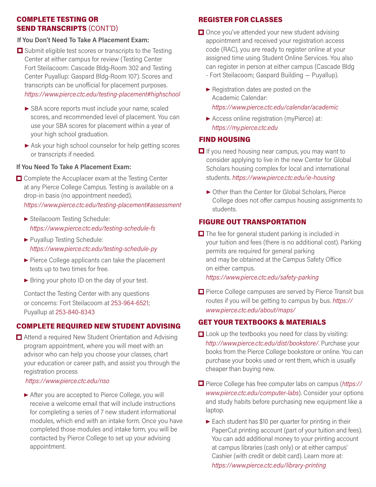#### COMPLETE TESTING OR SEND TRANSCRIPTS (CONT'D)

#### **If You Don't Need To Take A Placement Exam:**

- $\Box$  Submit eligible test scores or transcripts to the Testing Center at either campus for review (Testing Center Fort Steilacoom: Cascade Bldg-Room 302 and Testing Center Puyallup: Gaspard Bldg-Room 107). Scores and transcripts can be unofficial for placement purposes. *<https://www.pierce.ctc.edu/testing-placement#highschool>*
	- ▶ SBA score reports must include your name, scaled scores, and recommended level of placement. You can use your SBA scores for placement within a year of your high school graduation.
	- ▶ Ask your high school counselor for help getting scores or transcripts if needed.

#### **If You Need To Take A Placement Exam:**

- $\Box$  Complete the Accuplacer exam at the Testing Center at any Pierce College Campus. Testing is available on a drop-in basis (no appointment needed). *<https://www.pierce.ctc.edu/testing-placement#assessment>*
	- ▶ Steilacoom Testing Schedule: *<https://www.pierce.ctc.edu/testing-schedule-fs>*
	- ▶ Puyallup Testing Schedule: *<https://www.pierce.ctc.edu/testing-schedule-py>*
	- $\blacktriangleright$  Pierce College applicants can take the placement tests up to two times for free.
	- ▶ Bring your photo ID on the day of your test.

Contact the Testing Center with any questions or concerns: Fort Steilacoom at 253-964-6521; Puyallup at 253-840-8343

#### COMPLETE REQUIRED NEW STUDENT ADVISING

**□** Attend a required New Student Orientation and Advising program appointment, where you will meet with an advisor who can help you choose your classes, chart your education or career path, and assist you through the registration process

#### *<https://www.pierce.ctc.edu/nso>*

▶ After you are accepted to Pierce College, you will receive a welcome email that will include instructions for completing a series of 7 new student informational modules, which end with an intake form. Once you have completed those modules and intake form, you will be contacted by Pierce College to set up your advising appointment.

## REGISTER FOR CLASSES

- $\Box$  Once you've attended your new student advising appointment and received your registration access code (RAC), you are ready to register online at your assigned time using Student Online Services. You also can register in person at either campus (Cascade Bldg - Fort Steilacoom; Gaspard Building — Puyallup).
	- ▶ Registration dates are posted on the Academic Calendar: *<https://www.pierce.ctc.edu/calendar/academic>*
	- ▶ Access online registration (myPierce) at: *<https://my.pierce.ctc.edu>*

#### FIND HOUSING

- $\Box$  If you need housing near campus, you may want to consider applying to live in the new Center for Global Scholars housing complex for local and international students. *<https://www.pierce.ctc.edu/ie-housing>*
	- ▶ Other than the Center for Global Scholars, Pierce College does not offer campus housing assignments to students.

### FIGURE OUT TRANSPORTATION

 $\Box$  The fee for general student parking is included in your tuition and fees (there is no additional cost). Parking permits are required for general parking and may be obtained at the Campus Safety Office on either campus.

*<https://www.pierce.ctc.edu/safety-parking>*

**Pierce College campuses are served by Pierce Transit bus** routes if you will be getting to campus by bus. *[https://]( https://www.pierce.ctc.edu/about/maps/) [www.pierce.ctc.edu/about/maps/]( https://www.pierce.ctc.edu/about/maps/)*

## GET YOUR TEXTBOOKS & MATERIALS

- **Look up the textbooks you need for class by visiting:** *<http://www.pierce.ctc.edu/dist/bookstore/>*. Purchase your books from the Pierce College bookstore or online. You can purchase your books used or rent them, which is usually cheaper than buying new.
- Pierce College has free computer labs on campus (*[https://](https://www.pierce.ctc.edu/computer-labs) [www.pierce.ctc.edu/computer-labs](https://www.pierce.ctc.edu/computer-labs)*). Consider your options and study habits before purchasing new equipment like a laptop.
	- $\blacktriangleright$  Each student has \$10 per quarter for printing in their PaperCut printing account (part of your tuition and fees). You can add additional money to your printing account at campus libraries (cash only) or at either campus' Cashier (with credit or debit card). Learn more at: *[https://www.pierce.ctc.edu/](https://www.pierce.ctc.edu/computer-labs-printing)library-printing*